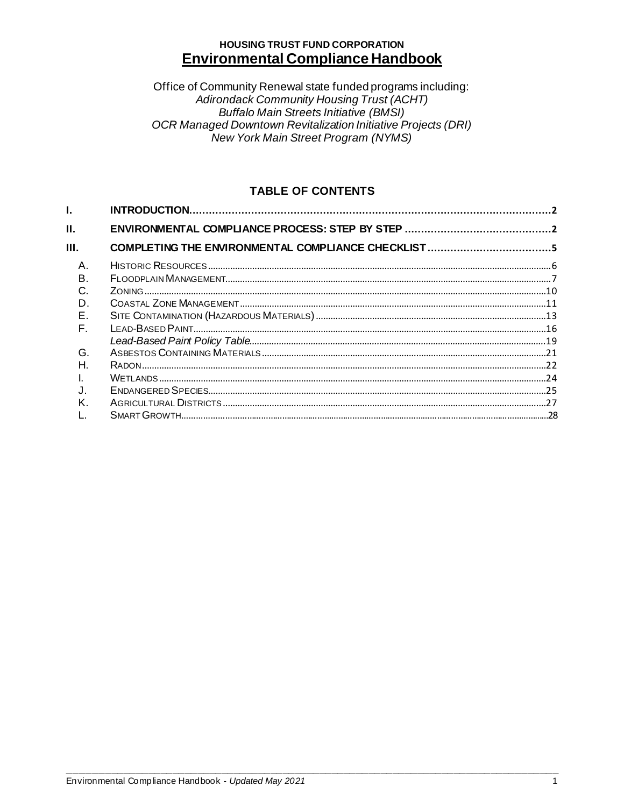# **HOUSING TRUST FUND CORPORATION Environmental Compliance Handbook**

Office of Community Renewal state funded programs including: Adirondack Community Housing Trust (ACHT) Buffalo Main Streets Initiative (BMSI)<br>OCR Managed Downtown Revitalization Initiative Projects (DRI) New York Main Street Program (NYMS)

# **TABLE OF CONTENTS**

| Ш.           |  |  |
|--------------|--|--|
| Ш.           |  |  |
| $\mathsf{A}$ |  |  |
| B.           |  |  |
| C.           |  |  |
| D.           |  |  |
| Е.           |  |  |
| F.           |  |  |
|              |  |  |
| G.           |  |  |
| Н.           |  |  |
|              |  |  |
|              |  |  |
| K.           |  |  |
|              |  |  |
|              |  |  |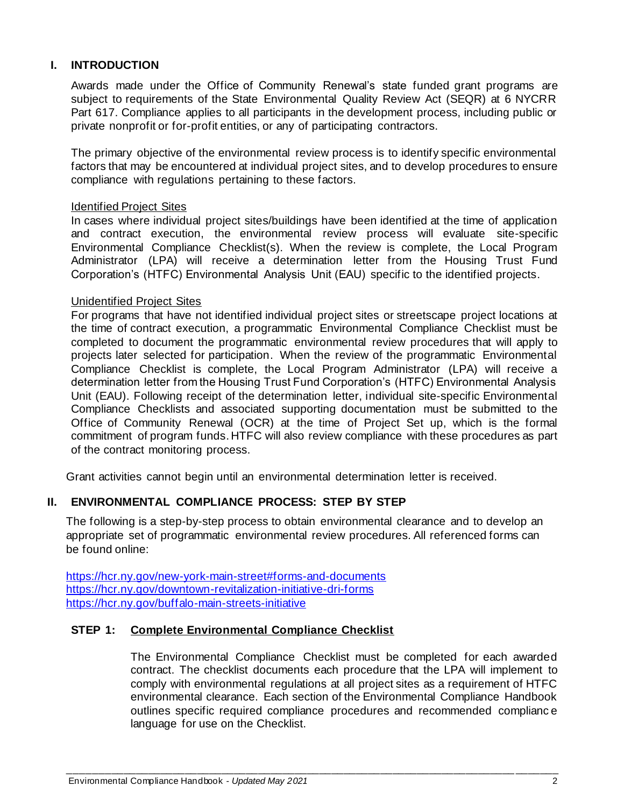## <span id="page-1-0"></span>**I. INTRODUCTION**

Awards made under the Office of Community Renewal's state funded grant programs are subject to requirements of the State Environmental Quality Review Act (SEQR) at 6 NYCRR Part 617. Compliance applies to all participants in the development process, including public or private nonprofit or for-profit entities, or any of participating contractors.

The primary objective of the environmental review process is to identify specific environmental factors that may be encountered at individual project sites, and to develop procedures to ensure compliance with regulations pertaining to these factors.

## Identified Project Sites

In cases where individual project sites/buildings have been identified at the time of application and contract execution, the environmental review process will evaluate site-specific Environmental Compliance Checklist(s). When the review is complete, the Local Program Administrator (LPA) will receive a determination letter from the Housing Trust Fund Corporation's (HTFC) Environmental Analysis Unit (EAU) specific to the identified projects.

### Unidentified Project Sites

For programs that have not identified individual project sites or streetscape project locations at the time of contract execution, a programmatic Environmental Compliance Checklist must be completed to document the programmatic environmental review procedures that will apply to projects later selected for participation. When the review of the programmatic Environmental Compliance Checklist is complete, the Local Program Administrator (LPA) will receive a determination letter from the Housing Trust Fund Corporation's (HTFC) Environmental Analysis Unit (EAU). Following receipt of the determination letter, individual site-specific Environmental Compliance Checklists and associated supporting documentation must be submitted to the Office of Community Renewal (OCR) at the time of Project Set up, which is the formal commitment of program funds. HTFC will also review compliance with these procedures as part of the contract monitoring process.

<span id="page-1-1"></span>Grant activities cannot begin until an environmental determination letter is received.

### **II. ENVIRONMENTAL COMPLIANCE PROCESS: STEP BY STEP**

The following is a step-by-step process to obtain environmental clearance and to develop an appropriate set of programmatic environmental review procedures. All referenced forms can be found online:

<https://hcr.ny.gov/new-york-main-street#forms-and-documents> <https://hcr.ny.gov/downtown-revitalization-initiative-dri-forms> <https://hcr.ny.gov/buffalo-main-streets-initiative>

### **STEP 1: Complete Environmental Compliance Checklist**

The Environmental Compliance Checklist must be completed for each awarded contract. The checklist documents each procedure that the LPA will implement to comply with environmental regulations at all project sites as a requirement of HTFC environmental clearance. Each section of the Environmental Compliance Handbook outlines specific required compliance procedures and recommended complianc e language for use on the Checklist.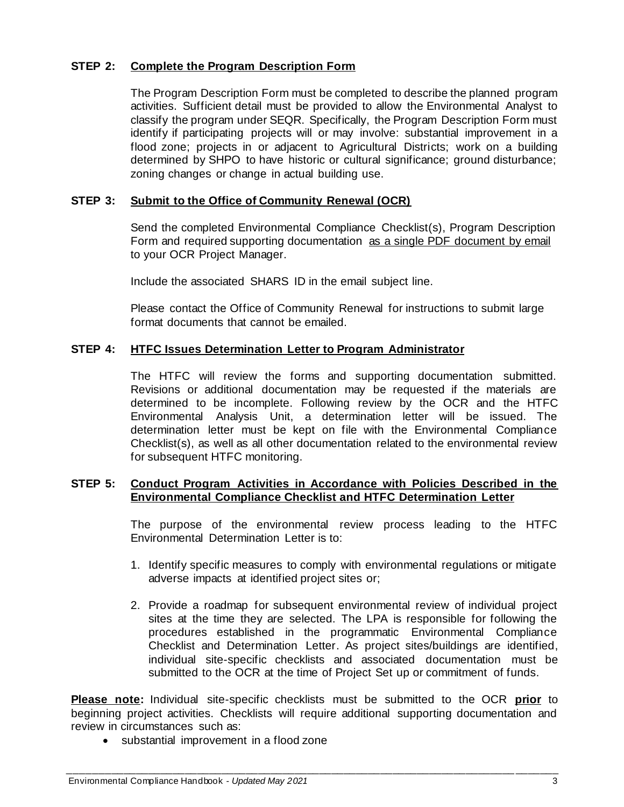## **STEP 2: Complete the Program Description Form**

The Program Description Form must be completed to describe the planned program activities. Sufficient detail must be provided to allow the Environmental Analyst to classify the program under SEQR. Specifically, the Program Description Form must identify if participating projects will or may involve: substantial improvement in a flood zone; projects in or adjacent to Agricultural Districts; work on a building determined by SHPO to have historic or cultural significance; ground disturbance; zoning changes or change in actual building use.

## **STEP 3: Submit to the Office of Community Renewal (OCR)**

Send the completed Environmental Compliance Checklist(s), Program Description Form and required supporting documentation as a single PDF document by email to your OCR Project Manager.

Include the associated SHARS ID in the email subject line.

Please contact the Office of Community Renewal for instructions to submit large format documents that cannot be emailed.

## **STEP 4: HTFC Issues Determination Letter to Program Administrator**

The HTFC will review the forms and supporting documentation submitted. Revisions or additional documentation may be requested if the materials are determined to be incomplete. Following review by the OCR and the HTFC Environmental Analysis Unit, a determination letter will be issued. The determination letter must be kept on file with the Environmental Compliance Checklist(s), as well as all other documentation related to the environmental review for subsequent HTFC monitoring.

## **STEP 5: Conduct Program Activities in Accordance with Policies Described in the Environmental Compliance Checklist and HTFC Determination Letter**

The purpose of the environmental review process leading to the HTFC Environmental Determination Letter is to:

- 1. Identify specific measures to comply with environmental regulations or mitigate adverse impacts at identified project sites or;
- 2. Provide a roadmap for subsequent environmental review of individual project sites at the time they are selected. The LPA is responsible for following the procedures established in the programmatic Environmental Compliance Checklist and Determination Letter. As project sites/buildings are identified, individual site-specific checklists and associated documentation must be submitted to the OCR at the time of Project Set up or commitment of funds.

**Please note:** Individual site-specific checklists must be submitted to the OCR **prior** to beginning project activities. Checklists will require additional supporting documentation and review in circumstances such as:

• substantial improvement in a flood zone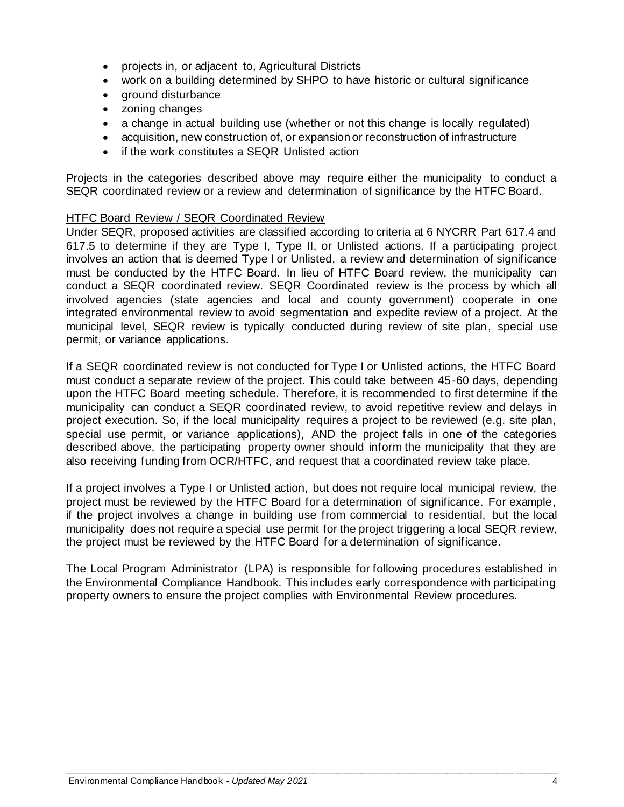- projects in, or adjacent to, Agricultural Districts
- work on a building determined by SHPO to have historic or cultural significance
- ground disturbance
- zoning changes
- a change in actual building use (whether or not this change is locally regulated)
- acquisition, new construction of, or expansion or reconstruction of infrastructure
- if the work constitutes a SEQR Unlisted action

Projects in the categories described above may require either the municipality to conduct a SEQR coordinated review or a review and determination of significance by the HTFC Board.

### HTFC Board Review / SEQR Coordinated Review

Under SEQR, proposed activities are classified according to criteria at 6 NYCRR Part 617.4 and 617.5 to determine if they are Type I, Type II, or Unlisted actions. If a participating project involves an action that is deemed Type I or Unlisted, a review and determination of significance must be conducted by the HTFC Board. In lieu of HTFC Board review, the municipality can conduct a SEQR coordinated review. SEQR Coordinated review is the process by which all involved agencies (state agencies and local and county government) cooperate in one integrated environmental review to avoid segmentation and expedite review of a project. At the municipal level, SEQR review is typically conducted during review of site plan, special use permit, or variance applications.

If a SEQR coordinated review is not conducted for Type I or Unlisted actions, the HTFC Board must conduct a separate review of the project. This could take between 45-60 days, depending upon the HTFC Board meeting schedule. Therefore, it is recommended to first determine if the municipality can conduct a SEQR coordinated review, to avoid repetitive review and delays in project execution. So, if the local municipality requires a project to be reviewed (e.g. site plan, special use permit, or variance applications), AND the project falls in one of the categories described above, the participating property owner should inform the municipality that they are also receiving funding from OCR/HTFC, and request that a coordinated review take place.

If a project involves a Type I or Unlisted action, but does not require local municipal review, the project must be reviewed by the HTFC Board for a determination of significance. For example, if the project involves a change in building use from commercial to residential, but the local municipality does not require a special use permit for the project triggering a local SEQR review, the project must be reviewed by the HTFC Board for a determination of significance.

The Local Program Administrator (LPA) is responsible for following procedures established in the Environmental Compliance Handbook. This includes early correspondence with participating property owners to ensure the project complies with Environmental Review procedures.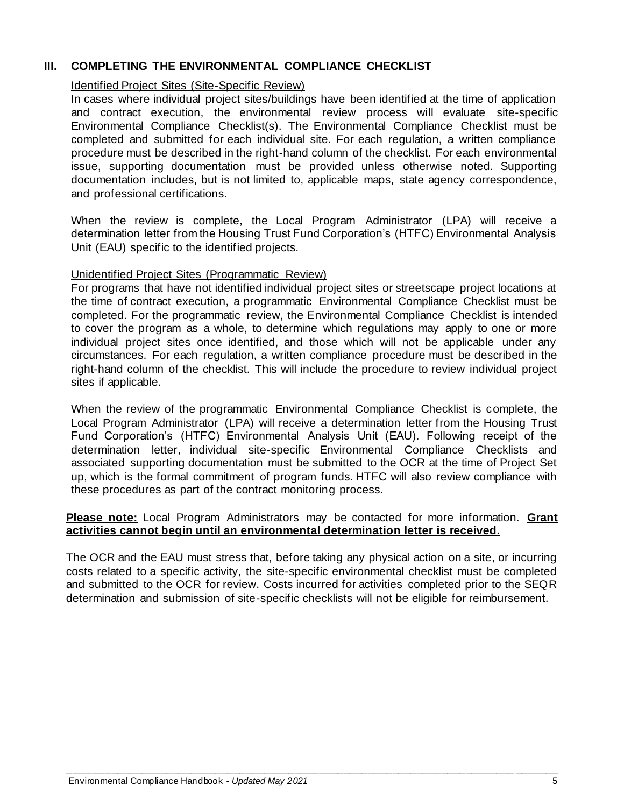## <span id="page-4-0"></span>**III. COMPLETING THE ENVIRONMENTAL COMPLIANCE CHECKLIST**

### Identified Project Sites (Site-Specific Review)

In cases where individual project sites/buildings have been identified at the time of application and contract execution, the environmental review process will evaluate site-specific Environmental Compliance Checklist(s). The Environmental Compliance Checklist must be completed and submitted for each individual site. For each regulation, a written compliance procedure must be described in the right-hand column of the checklist. For each environmental issue, supporting documentation must be provided unless otherwise noted. Supporting documentation includes, but is not limited to, applicable maps, state agency correspondence, and professional certifications.

When the review is complete, the Local Program Administrator (LPA) will receive a determination letter from the Housing Trust Fund Corporation's (HTFC) Environmental Analysis Unit (EAU) specific to the identified projects.

## Unidentified Project Sites (Programmatic Review)

For programs that have not identified individual project sites or streetscape project locations at the time of contract execution, a programmatic Environmental Compliance Checklist must be completed. For the programmatic review, the Environmental Compliance Checklist is intended to cover the program as a whole, to determine which regulations may apply to one or more individual project sites once identified, and those which will not be applicable under any circumstances. For each regulation, a written compliance procedure must be described in the right-hand column of the checklist. This will include the procedure to review individual project sites if applicable.

When the review of the programmatic Environmental Compliance Checklist is complete, the Local Program Administrator (LPA) will receive a determination letter from the Housing Trust Fund Corporation's (HTFC) Environmental Analysis Unit (EAU). Following receipt of the determination letter, individual site-specific Environmental Compliance Checklists and associated supporting documentation must be submitted to the OCR at the time of Project Set up, which is the formal commitment of program funds. HTFC will also review compliance with these procedures as part of the contract monitoring process.

### **Please note:** Local Program Administrators may be contacted for more information. **Grant activities cannot begin until an environmental determination letter is received.**

The OCR and the EAU must stress that, before taking any physical action on a site, or incurring costs related to a specific activity, the site-specific environmental checklist must be completed and submitted to the OCR for review. Costs incurred for activities completed prior to the SEQR determination and submission of site-specific checklists will not be eligible for reimbursement.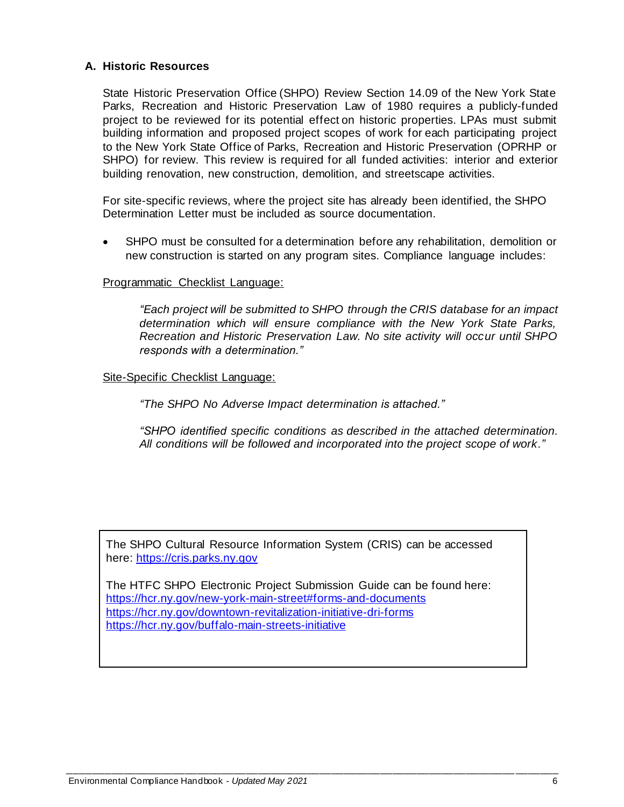## <span id="page-5-0"></span>**A. Historic Resources**

State Historic Preservation Office (SHPO) Review Section 14.09 of the New York State Parks, Recreation and Historic Preservation Law of 1980 requires a publicly-funded project to be reviewed for its potential effect on historic properties. LPAs must submit building information and proposed project scopes of work for each participating project to the New York State Office of Parks, Recreation and Historic Preservation (OPRHP or SHPO) for review. This review is required for all funded activities: interior and exterior building renovation, new construction, demolition, and streetscape activities.

For site-specific reviews, where the project site has already been identified, the SHPO Determination Letter must be included as source documentation.

SHPO must be consulted for a determination before any rehabilitation, demolition or new construction is started on any program sites. Compliance language includes:

### Programmatic Checklist Language:

*"Each project will be submitted to SHPO through the CRIS database for an impact determination which will ensure compliance with the New York State Parks, Recreation and Historic Preservation Law. No site activity will occur until SHPO responds with a determination."*

#### Site-Specific Checklist Language:

*"The SHPO No Adverse Impact determination is attached."*

*"SHPO identified specific conditions as described in the attached determination. All conditions will be followed and incorporated into the project scope of work."*

The SHPO Cultural Resource Information System (CRIS) can be accessed here: [https://cris.parks.ny.gov](https://cris.parks.ny.gov/)

The HTFC SHPO Electronic Project Submission Guide can be found here: <https://hcr.ny.gov/new-york-main-street#forms-and-documents> <https://hcr.ny.gov/downtown-revitalization-initiative-dri-forms> <https://hcr.ny.gov/buffalo-main-streets-initiative>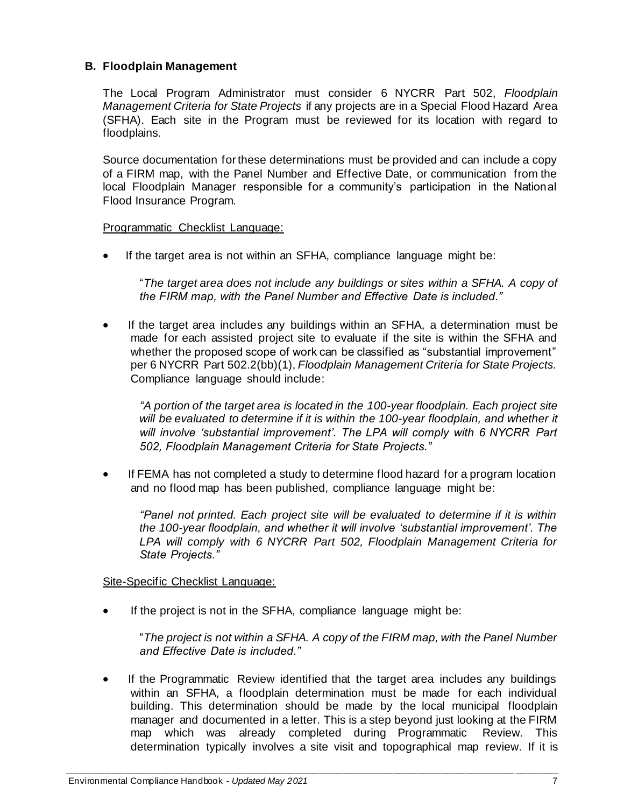## <span id="page-6-0"></span>**B. Floodplain Management**

The Local Program Administrator must consider 6 NYCRR Part 502, *Floodplain Management Criteria for State Projects* if any projects are in a Special Flood Hazard Area (SFHA). Each site in the Program must be reviewed for its location with regard to floodplains.

Source documentation for these determinations must be provided and can include a copy of a FIRM map, with the Panel Number and Effective Date, or communication from the local Floodplain Manager responsible for a community's participation in the National Flood Insurance Program.

Programmatic Checklist Language:

• If the target area is not within an SFHA, compliance language might be:

"*The target area does not include any buildings or sites within a SFHA. A copy of the FIRM map, with the Panel Number and Effective Date is included."* 

• If the target area includes any buildings within an SFHA, a determination must be made for each assisted project site to evaluate if the site is within the SFHA and whether the proposed scope of work can be classified as "substantial improvement" per 6 NYCRR Part 502.2(bb)(1), *Floodplain Management Criteria for State Projects.*  Compliance language should include:

*"A portion of the target area is located in the 100-year floodplain. Each project site will be evaluated to determine if it is within the 100-year floodplain, and whether it will involve 'substantial improvement'. The LPA will comply with 6 NYCRR Part 502, Floodplain Management Criteria for State Projects."*

• If FEMA has not completed a study to determine flood hazard for a program location and no flood map has been published, compliance language might be:

*"Panel not printed. Each project site will be evaluated to determine if it is within the 100-year floodplain, and whether it will involve 'substantial improvement'. The LPA will comply with 6 NYCRR Part 502, Floodplain Management Criteria for State Projects."*

Site-Specific Checklist Language:

If the project is not in the SFHA, compliance language might be:

"*The project is not within a SFHA. A copy of the FIRM map, with the Panel Number and Effective Date is included."*

• If the Programmatic Review identified that the target area includes any buildings within an SFHA, a floodplain determination must be made for each individual building. This determination should be made by the local municipal floodplain manager and documented in a letter. This is a step beyond just looking at the FIRM map which was already completed during Programmatic Review. This determination typically involves a site visit and topographical map review. If it is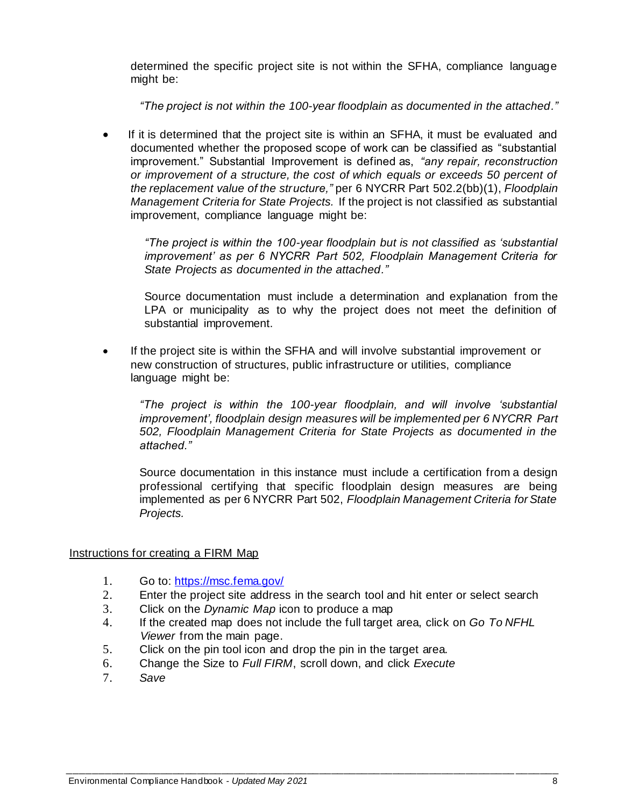determined the specific project site is not within the SFHA, compliance language might be:

*"The project is not within the 100-year floodplain as documented in the attached."*

If it is determined that the project site is within an SFHA, it must be evaluated and documented whether the proposed scope of work can be classified as "substantial improvement." Substantial Improvement is defined as, *"any repair, reconstruction or improvement of a structure, the cost of which equals or exceeds 50 percent of the replacement value of the structure,"* per 6 NYCRR Part 502.2(bb)(1), *Floodplain Management Criteria for State Projects.* If the project is not classified as substantial improvement, compliance language might be:

*"The project is within the 100-year floodplain but is not classified as 'substantial improvement' as per 6 NYCRR Part 502, Floodplain Management Criteria for State Projects as documented in the attached."*

Source documentation must include a determination and explanation from the LPA or municipality as to why the project does not meet the definition of substantial improvement.

If the project site is within the SFHA and will involve substantial improvement or new construction of structures, public infrastructure or utilities, compliance language might be:

*"The project is within the 100-year floodplain, and will involve 'substantial improvement', floodplain design measures will be implemented per 6 NYCRR Part 502, Floodplain Management Criteria for State Projects as documented in the attached."* 

Source documentation in this instance must include a certification from a design professional certifying that specific floodplain design measures are being implemented as per 6 NYCRR Part 502, *Floodplain Management Criteria for State Projects.*

Instructions for creating a FIRM Map

- 1. Go to:<https://msc.fema.gov/>
- 2. Enter the project site address in the search tool and hit enter or select search
- 3. Click on the *Dynamic Map* icon to produce a map
- 4. If the created map does not include the full target area, click on *Go To NFHL Viewer* from the main page.
- 5. Click on the pin tool icon and drop the pin in the target area.
- 6. Change the Size to *Full FIRM*, scroll down, and click *Execute*
- 7. *Save*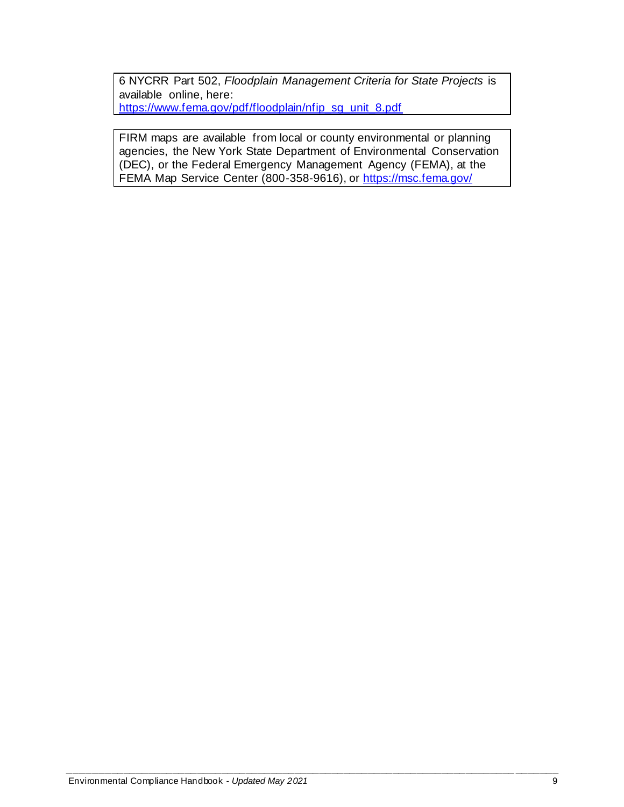6 NYCRR Part 502, *Floodplain Management Criteria for State Projects* is available online, here: [https://www.fema.gov/pdf/floodplain/nfip\\_sg\\_unit\\_8.pdf](https://www.fema.gov/pdf/floodplain/nfip_sg_unit_8.pdf)

FIRM maps are available from local or county environmental or planning agencies, the New York State Department of Environmental Conservation (DEC), or the Federal Emergency Management Agency (FEMA), at the FEMA Map Service Center (800-358-9616), or<https://msc.fema.gov/>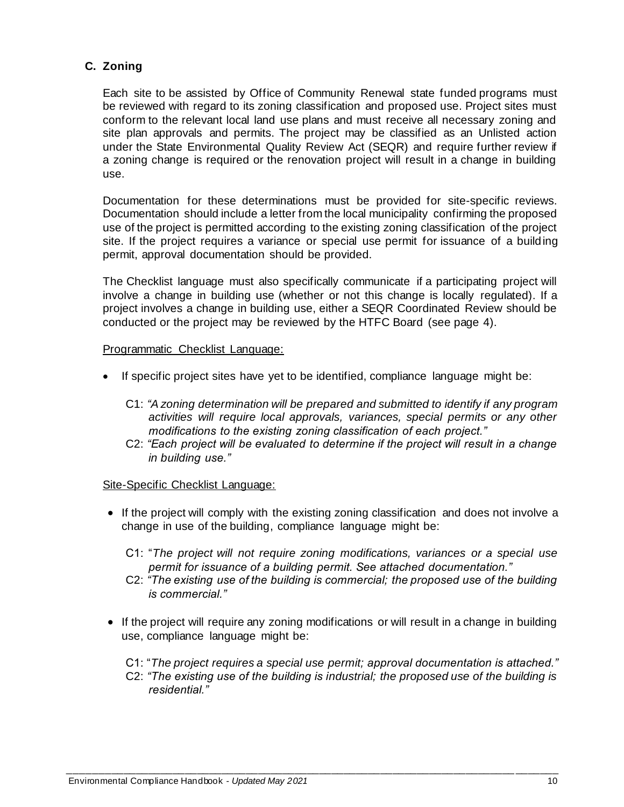# <span id="page-9-0"></span>**C. Zoning**

Each site to be assisted by Office of Community Renewal state funded programs must be reviewed with regard to its zoning classification and proposed use. Project sites must conform to the relevant local land use plans and must receive all necessary zoning and site plan approvals and permits. The project may be classified as an Unlisted action under the State Environmental Quality Review Act (SEQR) and require further review if a zoning change is required or the renovation project will result in a change in building use.

Documentation for these determinations must be provided for site-specific reviews. Documentation should include a letter from the local municipality confirming the proposed use of the project is permitted according to the existing zoning classification of the project site. If the project requires a variance or special use permit for issuance of a building permit, approval documentation should be provided.

The Checklist language must also specifically communicate if a participating project will involve a change in building use (whether or not this change is locally regulated). If a project involves a change in building use, either a SEQR Coordinated Review should be conducted or the project may be reviewed by the HTFC Board (see page 4).

#### Programmatic Checklist Language:

- If specific project sites have yet to be identified, compliance language might be:
	- C1: *"A zoning determination will be prepared and submitted to identify if any program activities will require local approvals, variances, special permits or any other modifications to the existing zoning classification of each project."*
	- C2: *"Each project will be evaluated to determine if the project will result in a change in building use."*

#### Site-Specific Checklist Language:

- If the project will comply with the existing zoning classification and does not involve a change in use of the building, compliance language might be:
	- C1: "*The project will not require zoning modifications, variances or a special use permit for issuance of a building permit. See attached documentation."*
	- C2: *"The existing use of the building is commercial; the proposed use of the building is commercial."*
- If the project will require any zoning modifications or will result in a change in building use, compliance language might be:
	- C1: "*The project requires a special use permit; approval documentation is attached."*
	- C2: *"The existing use of the building is industrial; the proposed use of the building is residential."*

*\_\_\_\_\_\_\_\_\_\_\_\_\_\_\_\_\_\_\_\_\_\_\_\_\_\_\_\_\_\_\_\_\_\_\_\_\_\_\_\_\_\_\_\_\_\_\_\_\_\_\_\_\_\_\_\_\_\_\_\_\_\_\_\_\_\_\_\_\_\_\_\_\_\_\_\_\_\_\_\_*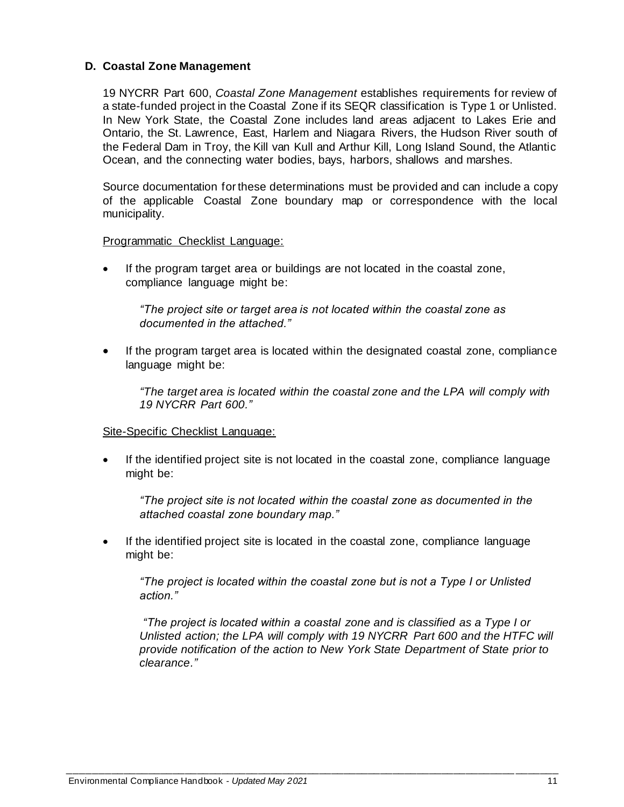## <span id="page-10-0"></span>**D. Coastal Zone Management**

19 NYCRR Part 600, *Coastal Zone Management* establishes requirements for review of a state-funded project in the Coastal Zone if its SEQR classification is Type 1 or Unlisted. In New York State, the Coastal Zone includes land areas adjacent to Lakes Erie and Ontario, the St. Lawrence, East, Harlem and Niagara Rivers, the Hudson River south of the Federal Dam in Troy, the Kill van Kull and Arthur Kill, Long Island Sound, the Atlantic Ocean, and the connecting water bodies, bays, harbors, shallows and marshes.

Source documentation for these determinations must be provided and can include a copy of the applicable Coastal Zone boundary map or correspondence with the local municipality.

Programmatic Checklist Language:

If the program target area or buildings are not located in the coastal zone, compliance language might be:

*"The project site or target area is not located within the coastal zone as documented in the attached."*

If the program target area is located within the designated coastal zone, compliance language might be:

*"The target area is located within the coastal zone and the LPA will comply with 19 NYCRR Part 600."*

### Site-Specific Checklist Language:

If the identified project site is not located in the coastal zone, compliance language might be:

*"The project site is not located within the coastal zone as documented in the attached coastal zone boundary map."*

• If the identified project site is located in the coastal zone, compliance language might be:

*\_\_\_\_\_\_\_\_\_\_\_\_\_\_\_\_\_\_\_\_\_\_\_\_\_\_\_\_\_\_\_\_\_\_\_\_\_\_\_\_\_\_\_\_\_\_\_\_\_\_\_\_\_\_\_\_\_\_\_\_\_\_\_\_\_\_\_\_\_\_\_\_\_\_\_\_\_\_\_\_*

*"The project is located within the coastal zone but is not a Type I or Unlisted action."*

*"The project is located within a coastal zone and is classified as a Type I or Unlisted action; the LPA will comply with 19 NYCRR Part 600 and the HTFC will provide notification of the action to New York State Department of State prior to clearance."*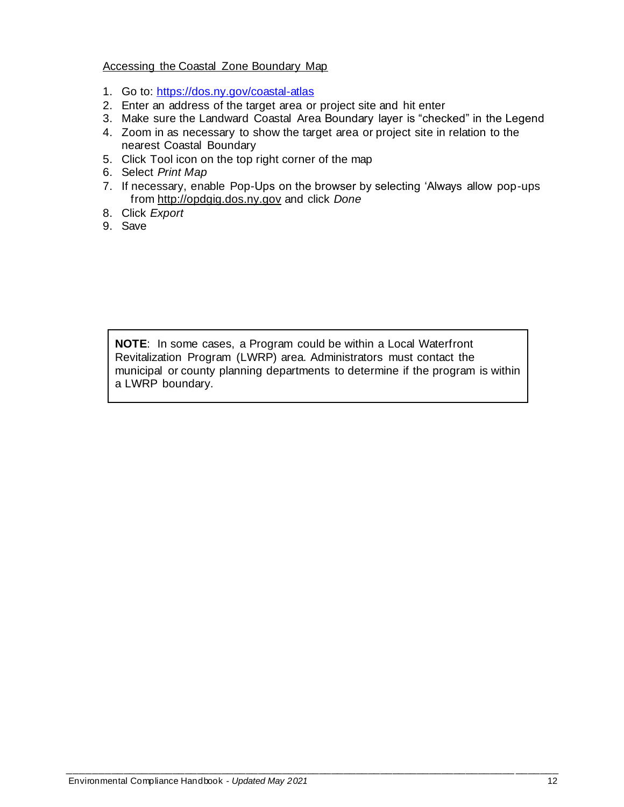## Accessing the Coastal Zone Boundary Map

- 1. Go to: <https://dos.ny.gov/coastal-atlas>
- 2. Enter an address of the target area or project site and hit enter
- 3. Make sure the Landward Coastal Area Boundary layer is "checked" in the Legend
- 4. Zoom in as necessary to show the target area or project site in relation to the nearest Coastal Boundary
- 5. Click Tool icon on the top right corner of the map
- 6. Select *Print Map*
- 7. If necessary, enable Pop-Ups on the browser by selecting 'Always allow pop-ups from [http://opdgig.dos.ny.gov](http://opdgig.dos.ny.gov/) and click *Done*
- 8. Click *Export*
- 9. Save

**NOTE**: In some cases, a Program could be within a Local Waterfront Revitalization Program (LWRP) area. Administrators must contact the municipal or county planning departments to determine if the program is within a LWRP boundary.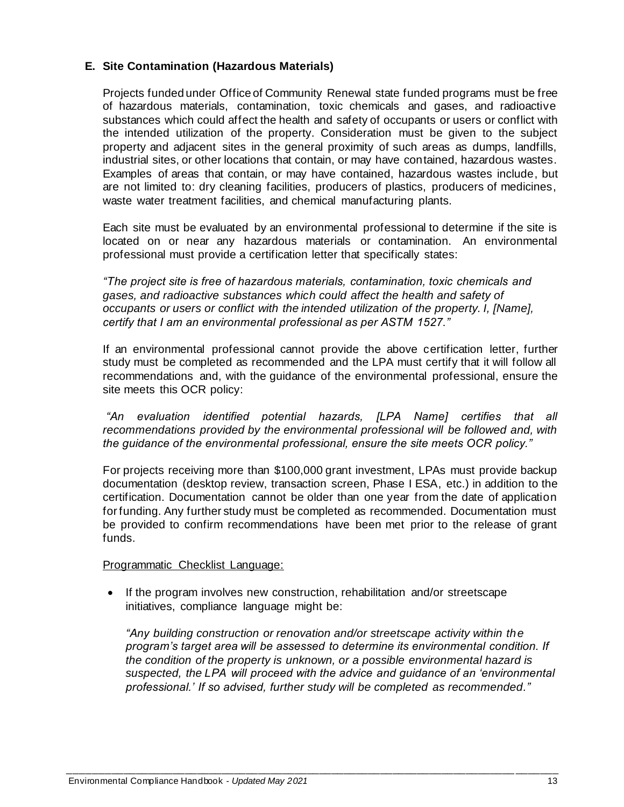## <span id="page-12-0"></span>**E. Site Contamination (Hazardous Materials)**

Projects funded under Office of Community Renewal state funded programs must be free of hazardous materials, contamination, toxic chemicals and gases, and radioactive substances which could affect the health and safety of occupants or users or conflict with the intended utilization of the property. Consideration must be given to the subject property and adjacent sites in the general proximity of such areas as dumps, landfills, industrial sites, or other locations that contain, or may have contained, hazardous wastes. Examples of areas that contain, or may have contained, hazardous wastes include, but are not limited to: dry cleaning facilities, producers of plastics, producers of medicines, waste water treatment facilities, and chemical manufacturing plants.

Each site must be evaluated by an environmental professional to determine if the site is located on or near any hazardous materials or contamination. An environmental professional must provide a certification letter that specifically states:

*"The project site is free of hazardous materials, contamination, toxic chemicals and gases, and radioactive substances which could affect the health and safety of occupants or users or conflict with the intended utilization of the property. I, [Name], certify that I am an environmental professional as per ASTM 1527."*

If an environmental professional cannot provide the above certification letter, further study must be completed as recommended and the LPA must certify that it will follow all recommendations and, with the guidance of the environmental professional, ensure the site meets this OCR policy:

*"An evaluation identified potential hazards, [LPA Name] certifies that all recommendations provided by the environmental professional will be followed and, with the guidance of the environmental professional, ensure the site meets OCR policy."*

For projects receiving more than \$100,000 grant investment, LPAs must provide backup documentation (desktop review, transaction screen, Phase I ESA, etc.) in addition to the certification. Documentation cannot be older than one year from the date of application for funding. Any further study must be completed as recommended. Documentation must be provided to confirm recommendations have been met prior to the release of grant funds.

### Programmatic Checklist Language:

• If the program involves new construction, rehabilitation and/or streetscape initiatives, compliance language might be:

*"Any building construction or renovation and/or streetscape activity within the program's target area will be assessed to determine its environmental condition. If the condition of the property is unknown, or a possible environmental hazard is suspected, the LPA will proceed with the advice and guidance of an 'environmental professional.' If so advised, further study will be completed as recommended."*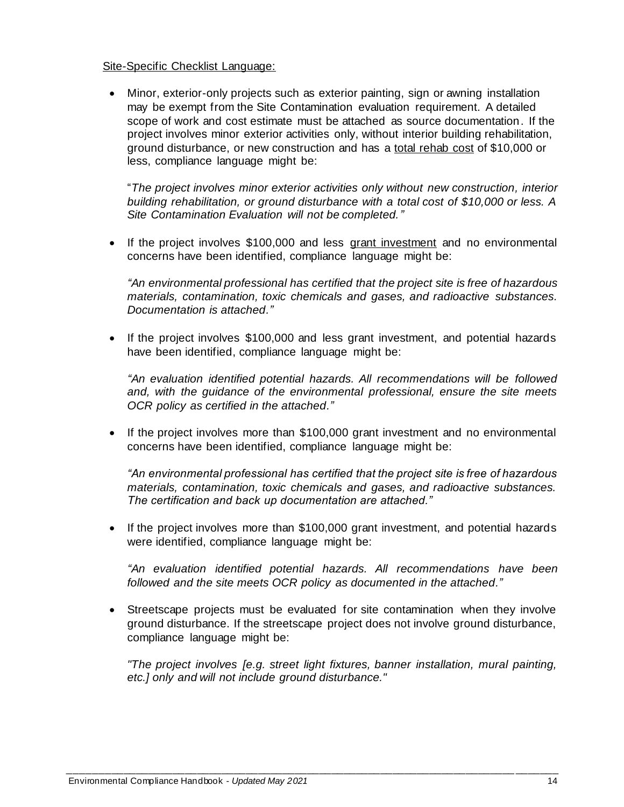#### Site-Specific Checklist Language:

• Minor, exterior-only projects such as exterior painting, sign or awning installation may be exempt from the Site Contamination evaluation requirement. A detailed scope of work and cost estimate must be attached as source documentation. If the project involves minor exterior activities only, without interior building rehabilitation, ground disturbance, or new construction and has a total rehab cost of \$10,000 or less, compliance language might be:

"*The project involves minor exterior activities only without new construction, interior building rehabilitation, or ground disturbance with a total cost of \$10,000 or less. A Site Contamination Evaluation will not be completed."*

• If the project involves \$100,000 and less grant investment and no environmental concerns have been identified, compliance language might be:

*"An environmental professional has certified that the project site is free of hazardous materials, contamination, toxic chemicals and gases, and radioactive substances. Documentation is attached."*

• If the project involves \$100,000 and less grant investment, and potential hazards have been identified, compliance language might be:

*"An evaluation identified potential hazards. All recommendations will be followed and, with the guidance of the environmental professional, ensure the site meets OCR policy as certified in the attached."*

• If the project involves more than \$100,000 grant investment and no environmental concerns have been identified, compliance language might be:

*"An environmental professional has certified that the project site is free of hazardous materials, contamination, toxic chemicals and gases, and radioactive substances. The certification and back up documentation are attached."*

• If the project involves more than \$100,000 grant investment, and potential hazards were identified, compliance language might be:

*"An evaluation identified potential hazards. All recommendations have been followed and the site meets OCR policy as documented in the attached."*

• Streetscape projects must be evaluated for site contamination when they involve ground disturbance. If the streetscape project does not involve ground disturbance, compliance language might be:

*"The project involves [e.g. street light fixtures, banner installation, mural painting, etc.] only and will not include ground disturbance."*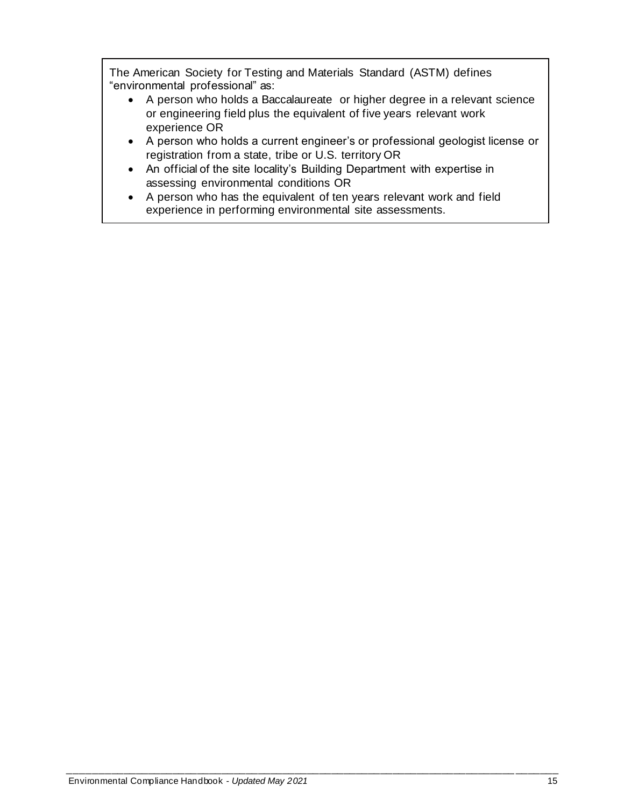The American Society for Testing and Materials Standard (ASTM) defines "environmental professional" as:

- A person who holds a Baccalaureate or higher degree in a relevant science or engineering field plus the equivalent of five years relevant work experience OR
- A person who holds a current engineer's or professional geologist license or registration from a state, tribe or U.S. territory OR
- An official of the site locality's Building Department with expertise in assessing environmental conditions OR
- A person who has the equivalent of ten years relevant work and field experience in performing environmental site assessments.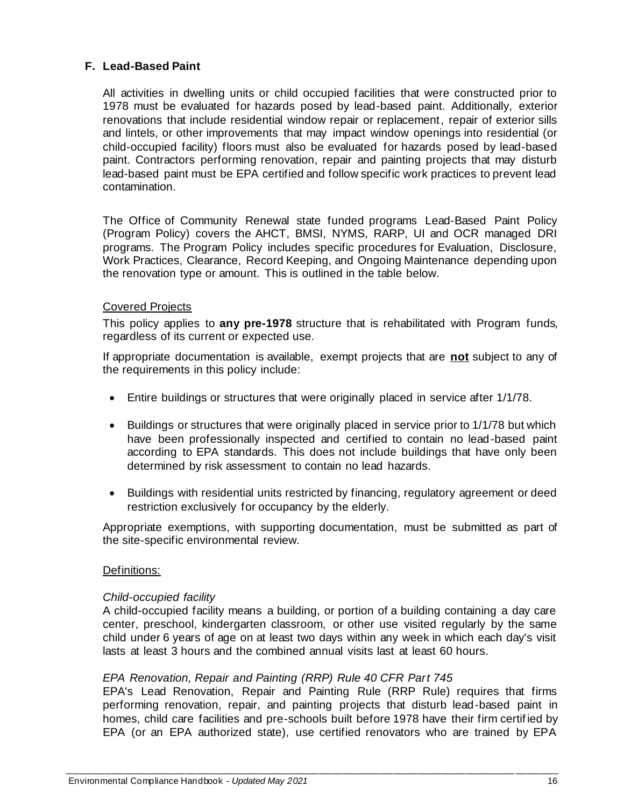## <span id="page-15-0"></span>**F. Lead-Based Paint**

All activities in dwelling units or child occupied facilities that were constructed prior to 1978 must be evaluated for hazards posed by lead-based paint. Additionally, exterior renovations that include residential window repair or replacement, repair of exterior sills and lintels, or other improvements that may impact window openings into residential (or child-occupied facility) floors must also be evaluated for hazards posed by lead-based paint. Contractors performing renovation, repair and painting projects that may disturb lead-based paint must be EPA certified and follow specific work practices to prevent lead contamination.

The Office of Community Renewal state funded programs Lead-Based Paint Policy (Program Policy) covers the AHCT, BMSI, NYMS, RARP, UI and OCR managed DRI programs. The Program Policy includes specific procedures for Evaluation, Disclosure, Work Practices, Clearance, Record Keeping, and Ongoing Maintenance depending upon the renovation type or amount. This is outlined in the table below.

#### Covered Projects

This policy applies to **any pre-1978** structure that is rehabilitated with Program funds, regardless of its current or expected use.

If appropriate documentation is available, exempt projects that are **not** subject to any of the requirements in this policy include:

- Entire buildings or structures that were originally placed in service after 1/1/78.
- Buildings or structures that were originally placed in service prior to 1/1/78 but which have been professionally inspected and certified to contain no lead-based paint according to EPA standards. This does not include buildings that have only been determined by risk assessment to contain no lead hazards.
- Buildings with residential units restricted by financing, regulatory agreement or deed restriction exclusively for occupancy by the elderly.

Appropriate exemptions, with supporting documentation, must be submitted as part of the site-specific environmental review.

#### Definitions:

#### *Child-occupied facility*

A child-occupied facility means a building, or portion of a building containing a day care center, preschool, kindergarten classroom, or other use visited regularly by the same child under 6 years of age on at least two days within any week in which each day's visit lasts at least 3 hours and the combined annual visits last at least 60 hours.

### *EPA Renovation, Repair and Painting (RRP) Rule 40 CFR Part 745*

EPA's Lead Renovation, Repair and Painting Rule (RRP Rule) requires that firms performing renovation, repair, and painting projects that disturb lead-based paint in homes, child care facilities and pre-schools built before 1978 have their firm certif ied by EPA (or an EPA authorized state), use certified renovators who are trained by EPA

*\_\_\_\_\_\_\_\_\_\_\_\_\_\_\_\_\_\_\_\_\_\_\_\_\_\_\_\_\_\_\_\_\_\_\_\_\_\_\_\_\_\_\_\_\_\_\_\_\_\_\_\_\_\_\_\_\_\_\_\_\_\_\_\_\_\_\_\_\_\_\_\_\_\_\_\_\_\_\_\_*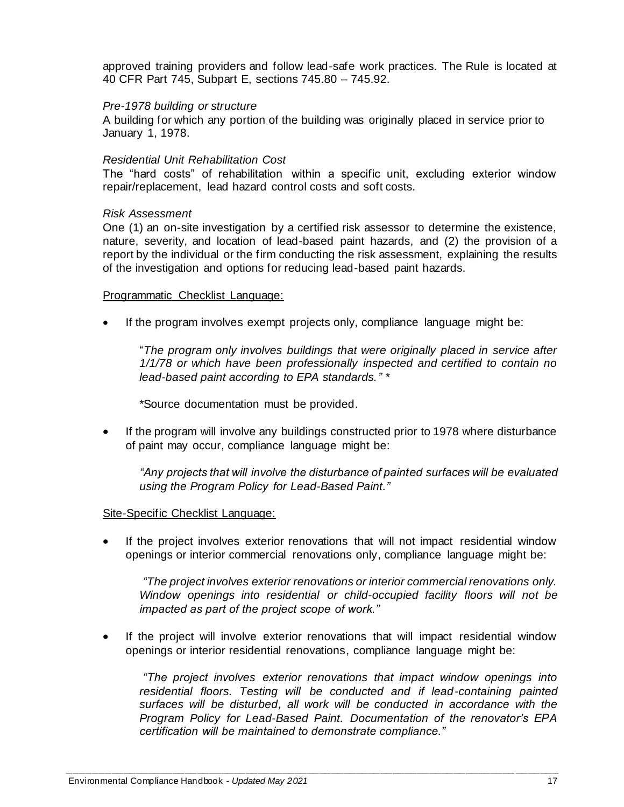approved training providers and follow lead-safe work practices. The Rule is located at 40 CFR Part 745, Subpart E, sections 745.80 – 745.92.

#### *Pre-1978 building or structure*

A building for which any portion of the building was originally placed in service prior to January 1, 1978.

#### *Residential Unit Rehabilitation Cost*

The "hard costs" of rehabilitation within a specific unit, excluding exterior window repair/replacement, lead hazard control costs and soft costs.

#### *Risk Assessment*

One (1) an on-site investigation by a certified risk assessor to determine the existence, nature, severity, and location of lead-based paint hazards, and (2) the provision of a report by the individual or the firm conducting the risk assessment, explaining the results of the investigation and options for reducing lead-based paint hazards.

#### Programmatic Checklist Language:

• If the program involves exempt projects only, compliance language might be:

"*The program only involves buildings that were originally placed in service after 1/1/78 or which have been professionally inspected and certified to contain no lead-based paint according to EPA standards." \**

\*Source documentation must be provided.

If the program will involve any buildings constructed prior to 1978 where disturbance of paint may occur, compliance language might be:

*"Any projects that will involve the disturbance of painted surfaces will be evaluated using the Program Policy for Lead-Based Paint."*

#### Site-Specific Checklist Language:

If the project involves exterior renovations that will not impact residential window openings or interior commercial renovations only, compliance language might be:

*"The project involves exterior renovations or interior commercial renovations only. Window openings into residential or child-occupied facility floors will not be impacted as part of the project scope of work."* 

If the project will involve exterior renovations that will impact residential window openings or interior residential renovations, compliance language might be:

*"The project involves exterior renovations that impact window openings into*  residential floors. Testing will be conducted and if lead-containing painted *surfaces will be disturbed, all work will be conducted in accordance with the Program Policy for Lead-Based Paint. Documentation of the renovator's EPA certification will be maintained to demonstrate compliance."*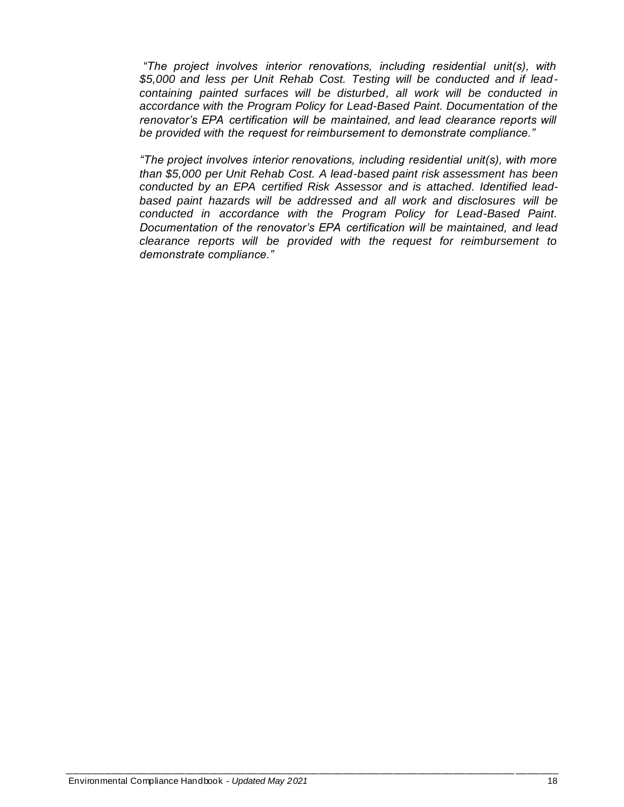*"The project involves interior renovations, including residential unit(s), with \$5,000 and less per Unit Rehab Cost. Testing will be conducted and if leadcontaining painted surfaces will be disturbed, all work will be conducted in accordance with the Program Policy for Lead-Based Paint. Documentation of the renovator's EPA certification will be maintained, and lead clearance reports will be provided with the request for reimbursement to demonstrate compliance."*

*"The project involves interior renovations, including residential unit(s), with more than \$5,000 per Unit Rehab Cost. A lead-based paint risk assessment has been conducted by an EPA certified Risk Assessor and is attached. Identified leadbased paint hazards will be addressed and all work and disclosures will be conducted in accordance with the Program Policy for Lead-Based Paint. Documentation of the renovator's EPA certification will be maintained, and lead clearance reports will be provided with the request for reimbursement to demonstrate compliance."*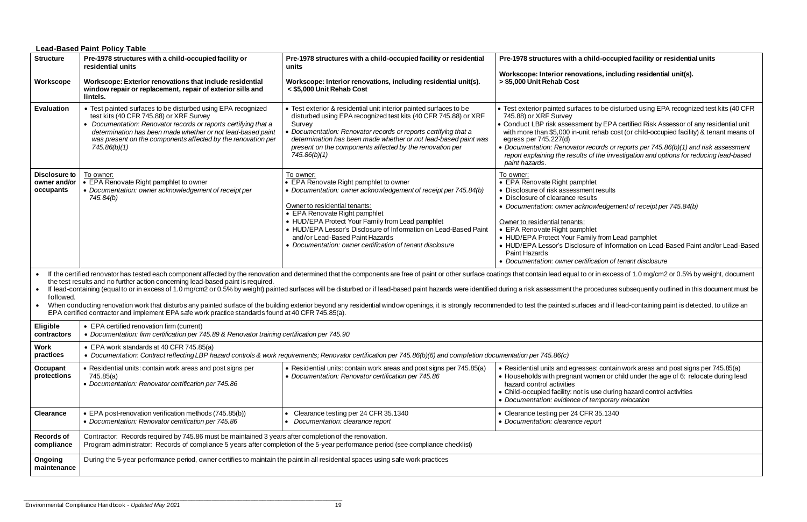## **ild-occupied facility or residential units**

<span id="page-18-0"></span>

|                                                                                                                                                                                                                                                                                                                                                                                                                                                                                                                                                                                                                                                                                                                                                                                                                                                                                                          | <b>Lead-Based Paint Policy Table</b>                                                                                                                                                                                                                                                                                      |                                                                                                                                                                                                                                                                                                                                                                                                                  |                                                                                                                                                                                                                                                                                                                                                                                                                                                                                                                                 |  |
|----------------------------------------------------------------------------------------------------------------------------------------------------------------------------------------------------------------------------------------------------------------------------------------------------------------------------------------------------------------------------------------------------------------------------------------------------------------------------------------------------------------------------------------------------------------------------------------------------------------------------------------------------------------------------------------------------------------------------------------------------------------------------------------------------------------------------------------------------------------------------------------------------------|---------------------------------------------------------------------------------------------------------------------------------------------------------------------------------------------------------------------------------------------------------------------------------------------------------------------------|------------------------------------------------------------------------------------------------------------------------------------------------------------------------------------------------------------------------------------------------------------------------------------------------------------------------------------------------------------------------------------------------------------------|---------------------------------------------------------------------------------------------------------------------------------------------------------------------------------------------------------------------------------------------------------------------------------------------------------------------------------------------------------------------------------------------------------------------------------------------------------------------------------------------------------------------------------|--|
| <b>Structure</b>                                                                                                                                                                                                                                                                                                                                                                                                                                                                                                                                                                                                                                                                                                                                                                                                                                                                                         | Pre-1978 structures with a child-occupied facility or<br>residential units                                                                                                                                                                                                                                                | Pre-1978 structures with a child-occupied facility or residential<br>units                                                                                                                                                                                                                                                                                                                                       | Pre-1978 structures with a child-occupied facility or residential units<br>Workscope: Interior renovations, including residential unit(s).                                                                                                                                                                                                                                                                                                                                                                                      |  |
| Workscope                                                                                                                                                                                                                                                                                                                                                                                                                                                                                                                                                                                                                                                                                                                                                                                                                                                                                                | Workscope: Exterior renovations that include residential<br>window repair or replacement, repair of exterior sills and<br>lintels.                                                                                                                                                                                        | Workscope: Interior renovations, including residential unit(s).<br>< \$5,000 Unit Rehab Cost                                                                                                                                                                                                                                                                                                                     | > \$5,000 Unit Rehab Cost                                                                                                                                                                                                                                                                                                                                                                                                                                                                                                       |  |
| <b>Evaluation</b>                                                                                                                                                                                                                                                                                                                                                                                                                                                                                                                                                                                                                                                                                                                                                                                                                                                                                        | • Test painted surfaces to be disturbed using EPA recognized<br>test kits (40 CFR 745.88) or XRF Survey<br>• Documentation: Renovator records or reports certifying that a<br>determination has been made whether or not lead-based paint<br>was present on the components affected by the renovation per<br>745.86(b)(1) | • Test exterior & residential unit interior painted surfaces to be<br>disturbed using EPA recognized test kits (40 CFR 745.88) or XRF<br>Survey<br>Documentation: Renovator records or reports certifying that a<br>determination has been made whether or not lead-based paint was<br>present on the components affected by the renovation per<br>745.86(b)(1)                                                  | • Test exterior painted surfaces to be disturbed using EPA recognized test kits (40 CFR<br>745.88) or XRF Survey<br>• Conduct LBP risk assessment by EPA certified Risk Assessor of any residential unit<br>with more than \$5,000 in-unit rehab cost (or child-occupied facility) & tenant means of<br>egress per 745.227(d)<br>• Documentation: Renovator records or reports per 745.86(b)(1) and risk assessment<br>report explaining the results of the investigation and options for reducing lead-based<br>paint hazards. |  |
| Disclosure to<br>owner and/or<br>occupants                                                                                                                                                                                                                                                                                                                                                                                                                                                                                                                                                                                                                                                                                                                                                                                                                                                               | To owner:<br>• EPA Renovate Right pamphlet to owner<br>• Documentation: owner acknowledgement of receipt per<br>745.84(b)                                                                                                                                                                                                 | To owner:<br>• EPA Renovate Right pamphlet to owner<br>• Documentation: owner acknowledgement of receipt per 745.84(b)<br>Owner to residential tenants:<br>• EPA Renovate Right pamphlet<br>• HUD/EPA Protect Your Family from Lead pamphlet<br>• HUD/EPA Lessor's Disclosure of Information on Lead-Based Paint<br>and/or Lead-Based Paint Hazards<br>• Documentation: owner certification of tenant disclosure | To owner:<br>• EPA Renovate Right pamphlet<br>• Disclosure of risk assessment results<br>• Disclosure of clearance results<br>• Documentation: owner acknowledgement of receipt per 745.84(b)<br>Owner to residential tenants:<br>• EPA Renovate Right pamphlet<br>• HUD/EPA Protect Your Family from Lead pamphlet<br>• HUD/EPA Lessor's Disclosure of Information on Lead-Based Paint and/or Lead-Based<br>Paint Hazards<br>• Documentation: owner certification of tenant disclosure                                         |  |
| If the certified renovator has tested each component affected by the renovation and determined that the components are free of paint or other surface coatings that contain lead equal to or in excess of 1.0 mg/cm2 or 0.5% b<br>the test results and no further action concerning lead-based paint is required.<br>• If lead-containing (equal to or in excess of 1.0 mg/cm2 or 0.5% by weight) painted surfaces will be disturbed or if lead-based paint hazards were identified during a risk assessment the procedures subsequently outlined i<br>followed.<br>When conducting renovation work that disturbs any painted surface of the building exterior beyond any residential window openings, it is strongly recommended to test the painted surfaces and if lead-containing paint is det<br>EPA certified contractor and implement EPA safe work practice standards found at 40 CFR 745.85(a). |                                                                                                                                                                                                                                                                                                                           |                                                                                                                                                                                                                                                                                                                                                                                                                  |                                                                                                                                                                                                                                                                                                                                                                                                                                                                                                                                 |  |
| <b>Eligible</b><br>contractors                                                                                                                                                                                                                                                                                                                                                                                                                                                                                                                                                                                                                                                                                                                                                                                                                                                                           | • EPA certified renovation firm (current)<br>• Documentation: firm certification per 745.89 & Renovator training certification per 745.90                                                                                                                                                                                 |                                                                                                                                                                                                                                                                                                                                                                                                                  |                                                                                                                                                                                                                                                                                                                                                                                                                                                                                                                                 |  |
| <b>Work</b><br>practices                                                                                                                                                                                                                                                                                                                                                                                                                                                                                                                                                                                                                                                                                                                                                                                                                                                                                 | • EPA work standards at 40 CFR 745.85(a)<br>• Documentation: Contract reflecting LBP hazard controls & work requirements; Renovator certification per 745.86(b)(6) and completion documentation per 745.86(c)                                                                                                             |                                                                                                                                                                                                                                                                                                                                                                                                                  |                                                                                                                                                                                                                                                                                                                                                                                                                                                                                                                                 |  |
| <b>Occupant</b><br>protections                                                                                                                                                                                                                                                                                                                                                                                                                                                                                                                                                                                                                                                                                                                                                                                                                                                                           | • Residential units: contain work areas and post signs per<br>745.85(a)<br>• Documentation: Renovator certification per 745.86                                                                                                                                                                                            | • Residential units: contain work areas and post signs per 745.85(a)<br>• Documentation: Renovator certification per 745.86                                                                                                                                                                                                                                                                                      | • Residential units and egresses: contain work areas and post signs per 745.85(a)<br>• Households with pregnant women or child under the age of 6: relocate during lead<br>hazard control activities<br>• Child-occupied facility: not is use during hazard control activities<br>• Documentation: evidence of temporary relocation                                                                                                                                                                                             |  |
| <b>Clearance</b>                                                                                                                                                                                                                                                                                                                                                                                                                                                                                                                                                                                                                                                                                                                                                                                                                                                                                         | • EPA post-renovation verification methods (745.85(b))<br>• Documentation: Renovator certification per 745.86                                                                                                                                                                                                             | Clearance testing per 24 CFR 35.1340<br>Documentation: clearance report                                                                                                                                                                                                                                                                                                                                          | • Clearance testing per 24 CFR 35.1340<br>• Documentation: clearance report                                                                                                                                                                                                                                                                                                                                                                                                                                                     |  |
| <b>Records of</b><br>compliance                                                                                                                                                                                                                                                                                                                                                                                                                                                                                                                                                                                                                                                                                                                                                                                                                                                                          | Contractor: Records required by 745.86 must be maintained 3 years after completion of the renovation.<br>Program administrator: Records of compliance 5 years after completion of the 5-year performance period (see compliance checklist)                                                                                |                                                                                                                                                                                                                                                                                                                                                                                                                  |                                                                                                                                                                                                                                                                                                                                                                                                                                                                                                                                 |  |
| Ongoing<br>maintenance                                                                                                                                                                                                                                                                                                                                                                                                                                                                                                                                                                                                                                                                                                                                                                                                                                                                                   | During the 5-year performance period, owner certifies to maintain the paint in all residential spaces using safe work practices                                                                                                                                                                                           |                                                                                                                                                                                                                                                                                                                                                                                                                  |                                                                                                                                                                                                                                                                                                                                                                                                                                                                                                                                 |  |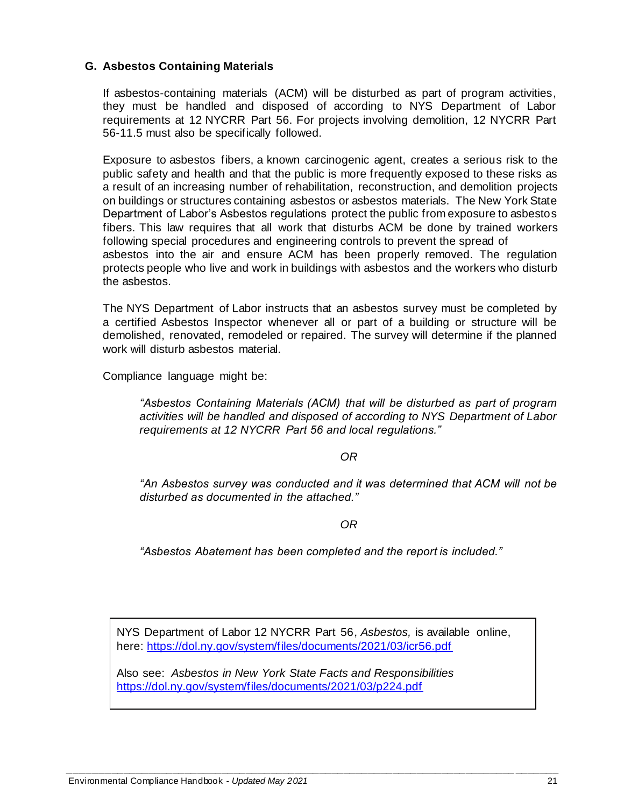## <span id="page-19-0"></span>**G. Asbestos Containing Materials**

If asbestos-containing materials (ACM) will be disturbed as part of program activities, they must be handled and disposed of according to NYS Department of Labor requirements at 12 NYCRR Part 56. For projects involving demolition, 12 NYCRR Part 56-11.5 must also be specifically followed.

Exposure to asbestos fibers, a known carcinogenic agent, creates a serious risk to the public safety and health and that the public is more frequently exposed to these risks as a result of an increasing number of rehabilitation, reconstruction, and demolition projects on buildings or structures containing asbestos or asbestos materials. The New York State Department of Labor's Asbestos regulations protect the public from exposure to asbestos fibers. This law requires that all work that disturbs ACM be done by trained workers following special procedures and engineering controls to prevent the spread of asbestos into the air and ensure ACM has been properly removed. The regulation protects people who live and work in buildings with asbestos and the workers who disturb the asbestos.

The NYS Department of Labor instructs that an asbestos survey must be completed by a certified Asbestos Inspector whenever all or part of a building or structure will be demolished, renovated, remodeled or repaired. The survey will determine if the planned work will disturb asbestos material.

Compliance language might be:

*"Asbestos Containing Materials (ACM) that will be disturbed as part of program activities will be handled and disposed of according to NYS Department of Labor requirements at 12 NYCRR Part 56 and local regulations."*

#### *OR*

*"An Asbestos survey was conducted and it was determined that ACM will not be disturbed as documented in the attached."*

*OR*

*"Asbestos Abatement has been completed and the report is included."*

NYS Department of Labor 12 NYCRR Part 56, *Asbestos,* is available online, here:<https://dol.ny.gov/system/files/documents/2021/03/icr56.pdf>

*\_\_\_\_\_\_\_\_\_\_\_\_\_\_\_\_\_\_\_\_\_\_\_\_\_\_\_\_\_\_\_\_\_\_\_\_\_\_\_\_\_\_\_\_\_\_\_\_\_\_\_\_\_\_\_\_\_\_\_\_\_\_\_\_\_\_\_\_\_\_\_\_\_\_\_\_\_\_\_\_*

Also see: *Asbestos in New York State Facts and Responsibilities* <https://dol.ny.gov/system/files/documents/2021/03/p224.pdf>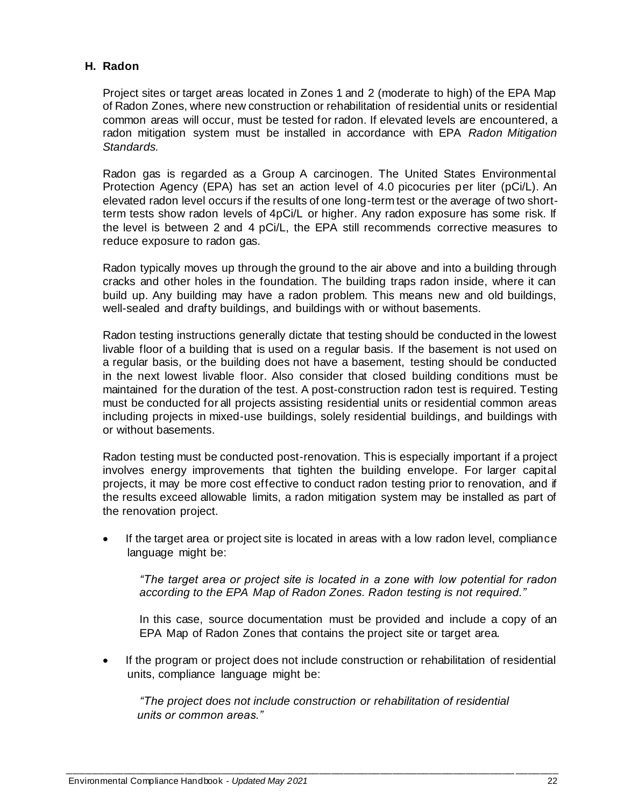## <span id="page-20-0"></span>**H. Radon**

Project sites or target areas located in Zones 1 and 2 (moderate to high) of the EPA Map of Radon Zones, where new construction or rehabilitation of residential units or residential common areas will occur, must be tested for radon. If elevated levels are encountered, a radon mitigation system must be installed in accordance with EPA *Radon Mitigation Standards.* 

Radon gas is regarded as a Group A carcinogen. The United States Environmental Protection Agency (EPA) has set an action level of 4.0 picocuries per liter (pCi/L). An elevated radon level occurs if the results of one long-term test or the average of two shortterm tests show radon levels of 4pCi/L or higher. Any radon exposure has some risk. If the level is between 2 and 4 pCi/L, the EPA still recommends corrective measures to reduce exposure to radon gas.

Radon typically moves up through the ground to the air above and into a building through cracks and other holes in the foundation. The building traps radon inside, where it can build up. Any building may have a radon problem. This means new and old buildings, well-sealed and drafty buildings, and buildings with or without basements.

Radon testing instructions generally dictate that testing should be conducted in the lowest livable floor of a building that is used on a regular basis. If the basement is not used on a regular basis, or the building does not have a basement, testing should be conducted in the next lowest livable floor. Also consider that closed building conditions must be maintained for the duration of the test. A post-construction radon test is required. Testing must be conducted for all projects assisting residential units or residential common areas including projects in mixed-use buildings, solely residential buildings, and buildings with or without basements.

Radon testing must be conducted post-renovation. This is especially important if a project involves energy improvements that tighten the building envelope. For larger capital projects, it may be more cost effective to conduct radon testing prior to renovation, and if the results exceed allowable limits, a radon mitigation system may be installed as part of the renovation project.

If the target area or project site is located in areas with a low radon level, compliance language might be:

*"The target area or project site is located in a zone with low potential for radon according to the EPA Map of Radon Zones. Radon testing is not required."*

In this case, source documentation must be provided and include a copy of an EPA Map of Radon Zones that contains the project site or target area.

• If the program or project does not include construction or rehabilitation of residential units, compliance language might be:

*"The project does not include construction or rehabilitation of residential units or common areas."*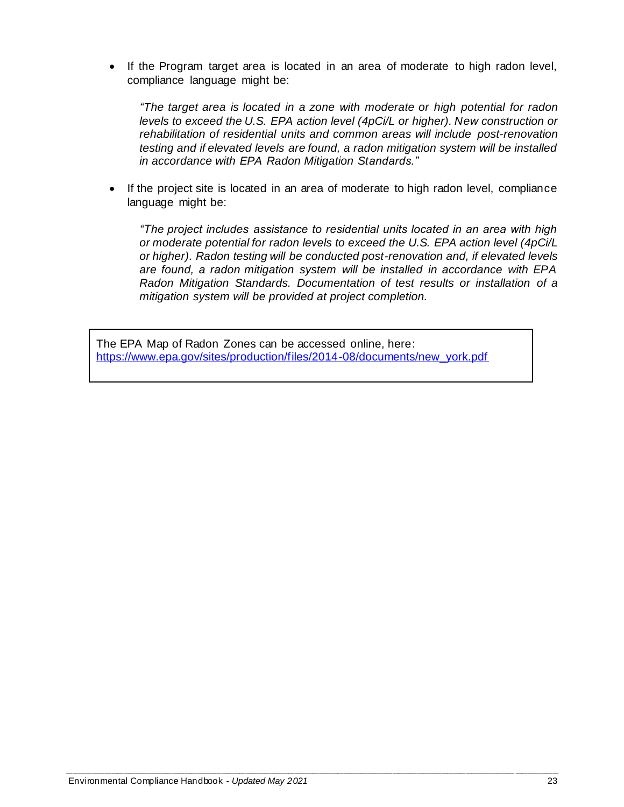• If the Program target area is located in an area of moderate to high radon level, compliance language might be:

*"The target area is located in a zone with moderate or high potential for radon levels to exceed the U.S. EPA action level (4pCi/L or higher). New construction or rehabilitation of residential units and common areas will include post-renovation testing and if elevated levels are found, a radon mitigation system will be installed in accordance with EPA Radon Mitigation Standards."*

• If the project site is located in an area of moderate to high radon level, compliance language might be:

*"The project includes assistance to residential units located in an area with high or moderate potential for radon levels to exceed the U.S. EPA action level (4pCi/L or higher). Radon testing will be conducted post-renovation and, if elevated levels are found, a radon mitigation system will be installed in accordance with EPA Radon Mitigation Standards. Documentation of test results or installation of a mitigation system will be provided at project completion.*

The EPA Map of Radon Zones can be accessed online, here: [https://www.epa.gov/sites/production/files/2014-08/documents/new\\_york.pdf](https://www.epa.gov/sites/production/files/2014-08/documents/new_york.pdf)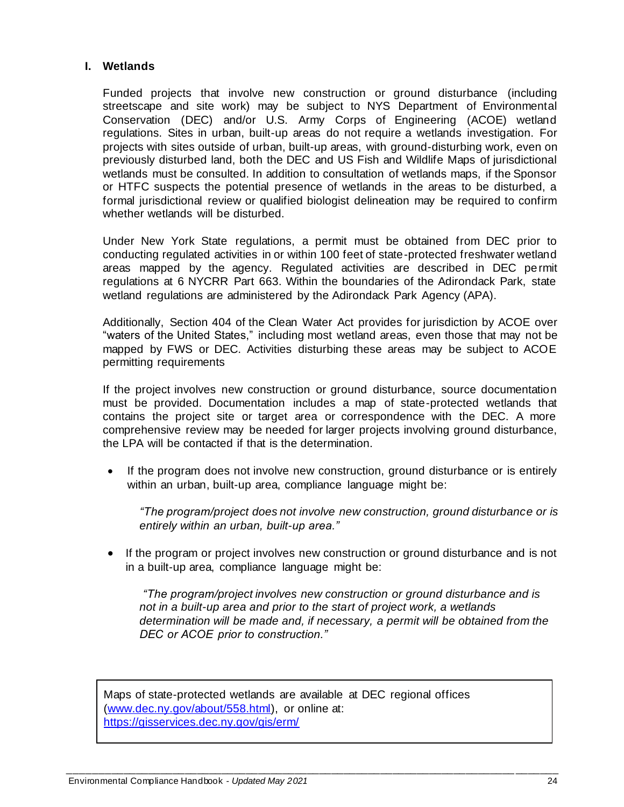## <span id="page-22-0"></span>**I. Wetlands**

Funded projects that involve new construction or ground disturbance (including streetscape and site work) may be subject to NYS Department of Environmental Conservation (DEC) and/or U.S. Army Corps of Engineering (ACOE) wetland regulations. Sites in urban, built-up areas do not require a wetlands investigation. For projects with sites outside of urban, built-up areas, with ground-disturbing work, even on previously disturbed land, both the DEC and US Fish and Wildlife Maps of jurisdictional wetlands must be consulted. In addition to consultation of wetlands maps, if the Sponsor or HTFC suspects the potential presence of wetlands in the areas to be disturbed, a formal jurisdictional review or qualified biologist delineation may be required to confirm whether wetlands will be disturbed.

Under New York State regulations, a permit must be obtained from DEC prior to conducting regulated activities in or within 100 feet of state-protected freshwater wetland areas mapped by the agency. Regulated activities are described in DEC permit regulations at 6 NYCRR Part 663. Within the boundaries of the Adirondack Park, state wetland regulations are administered by the Adirondack Park Agency (APA).

Additionally, Section 404 of the Clean Water Act provides for jurisdiction by ACOE over "waters of the United States," including most wetland areas, even those that may not be mapped by FWS or DEC. Activities disturbing these areas may be subject to ACOE permitting requirements

If the project involves new construction or ground disturbance, source documentation must be provided. Documentation includes a map of state-protected wetlands that contains the project site or target area or correspondence with the DEC. A more comprehensive review may be needed for larger projects involving ground disturbance, the LPA will be contacted if that is the determination.

If the program does not involve new construction, ground disturbance or is entirely within an urban, built-up area, compliance language might be:

*"The program/project does not involve new construction, ground disturbance or is entirely within an urban, built-up area."*

• If the program or project involves new construction or ground disturbance and is not in a built-up area, compliance language might be:

*"The program/project involves new construction or ground disturbance and is not in a built-up area and prior to the start of project work, a wetlands determination will be made and, if necessary, a permit will be obtained from the DEC or ACOE prior to construction."*

Maps of state-protected wetlands are available at DEC regional offices [\(www.dec.ny.gov/about/558.html\),](http://www.dec.ny.gov/about/558.html) or online at: <https://gisservices.dec.ny.gov/gis/erm/>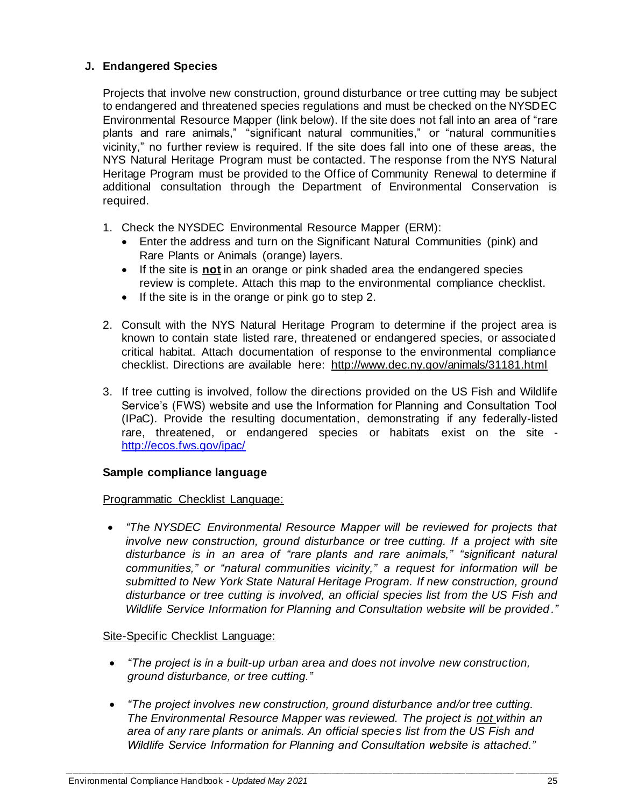## <span id="page-23-0"></span>**J. Endangered Species**

Projects that involve new construction, ground disturbance or tree cutting may be subject to endangered and threatened species regulations and must be checked on the NYSDEC Environmental Resource Mapper (link below). If the site does not fall into an area of "rare plants and rare animals," "significant natural communities," or "natural communities vicinity," no further review is required. If the site does fall into one of these areas, the NYS Natural Heritage Program must be contacted. The response from the NYS Natural Heritage Program must be provided to the Office of Community Renewal to determine if additional consultation through the Department of Environmental Conservation is required.

- 1. Check the NYSDEC Environmental Resource Mapper (ERM):
	- Enter the address and turn on the Significant Natural Communities (pink) and Rare Plants or Animals (orange) layers.
	- If the site is **not** in an orange or pink shaded area the endangered species review is complete. Attach this map to the environmental compliance checklist.
	- If the site is in the orange or pink go to step 2.
- 2. Consult with the NYS Natural Heritage Program to determine if the project area is known to contain state listed rare, threatened or endangered species, or associated critical habitat. Attach documentation of response to the environmental compliance checklist. Directions are available here:<http://www.dec.ny.gov/animals/31181.html>
- 3. If tree cutting is involved, follow the directions provided on the US Fish and Wildlife Service's (FWS) website and use the Information for Planning and Consultation Tool (IPaC). Provide the resulting documentation, demonstrating if any federally-listed rare, threatened, or endangered species or habitats exist on the site <http://ecos.fws.gov/ipac/>

### **Sample compliance language**

### Programmatic Checklist Language:

• *"The NYSDEC Environmental Resource Mapper will be reviewed for projects that involve new construction, ground disturbance or tree cutting. If a project with site disturbance is in an area of "rare plants and rare animals," "significant natural communities," or "natural communities vicinity," a request for information will be submitted to New York State Natural Heritage Program. If new construction, ground disturbance or tree cutting is involved, an official species list from the US Fish and Wildlife Service Information for Planning and Consultation website will be provided."*

### Site-Specific Checklist Language:

- *"The project is in a built-up urban area and does not involve new construction, ground disturbance, or tree cutting."*
- *"The project involves new construction, ground disturbance and/or tree cutting. The Environmental Resource Mapper was reviewed. The project is not within an area of any rare plants or animals. An official species list from the US Fish and Wildlife Service Information for Planning and Consultation website is attached."*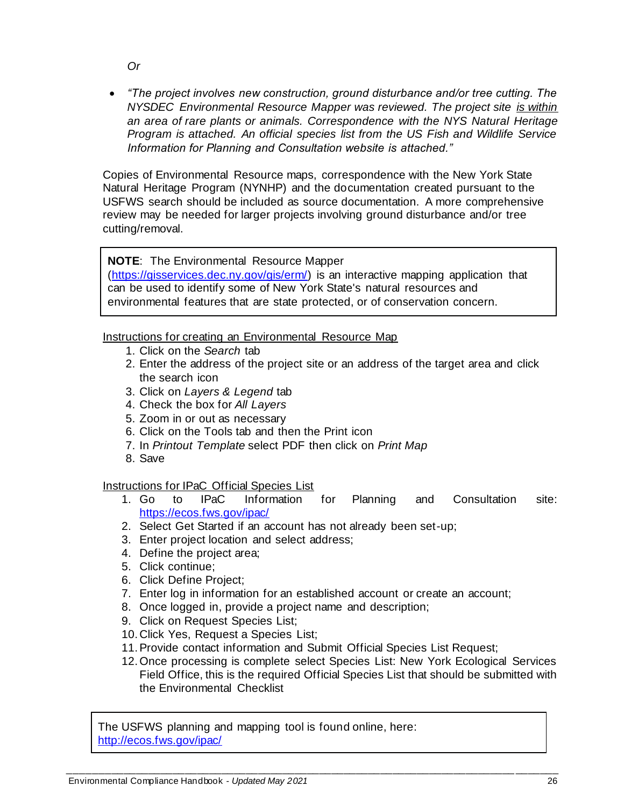• *"The project involves new construction, ground disturbance and/or tree cutting. The NYSDEC Environmental Resource Mapper was reviewed. The project site is within an area of rare plants or animals. Correspondence with the NYS Natural Heritage Program is attached. An official species list from the US Fish and Wildlife Service Information for Planning and Consultation website is attached."*

Copies of Environmental Resource maps, correspondence with the New York State Natural Heritage Program (NYNHP) and the documentation created pursuant to the USFWS search should be included as source documentation. A more comprehensive review may be needed for larger projects involving ground disturbance and/or tree cutting/removal.

## **NOTE**: The Environmental Resource Mapper

[\(https://gisservices.dec.ny.gov/gis/erm/\)](https://gisservices.dec.ny.gov/gis/erm/) is an interactive mapping application that can be used to identify some of New York State's natural resources and environmental features that are state protected, or of conservation concern.

### Instructions for creating an Environmental Resource Map

- 1. Click on the *Search* tab
- 2. Enter the address of the project site or an address of the target area and click the search icon
- 3. Click on *Layers & Legend* tab
- 4. Check the box for *All Layers*
- 5. Zoom in or out as necessary
- 6. Click on the Tools tab and then the Print icon
- 7. In *Printout Template* select PDF then click on *Print Map*
- 8. Save

Instructions for IPaC Official Species List

- 1. Go to IPaC Information for Planning and Consultation site: <https://ecos.fws.gov/ipac/>
- 2. Select Get Started if an account has not already been set-up;
- 3. Enter project location and select address;
- 4. Define the project area;
- 5. Click continue;
- 6. Click Define Project;
- 7. Enter log in information for an established account or create an account;
- 8. Once logged in, provide a project name and description;
- 9. Click on Request Species List;
- 10. Click Yes, Request a Species List;
- 11.Provide contact information and Submit Official Species List Request;
- 12.Once processing is complete select Species List: New York Ecological Services Field Office, this is the required Official Species List that should be submitted with the Environmental Checklist

The USFWS planning and mapping tool is found online, here: <http://ecos.fws.gov/ipac/>

*Or*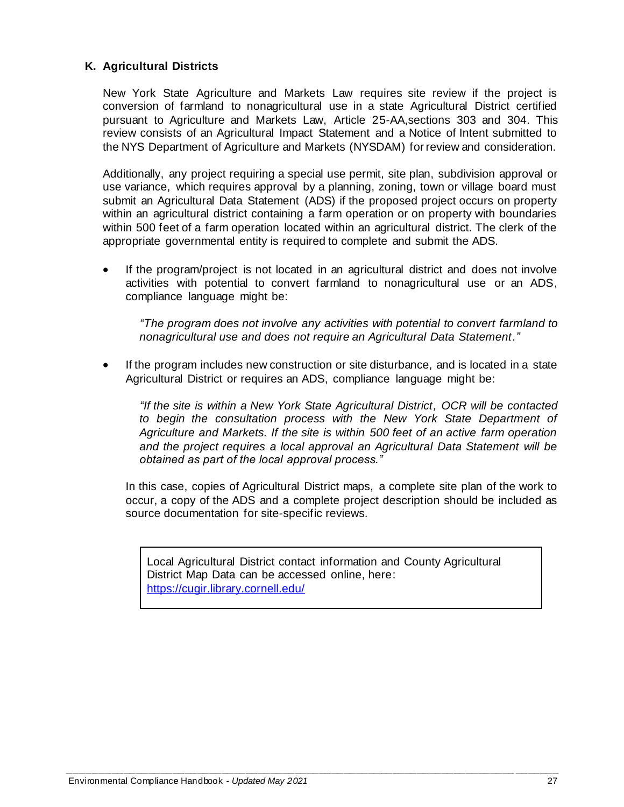## <span id="page-25-0"></span>**K. Agricultural Districts**

New York State Agriculture and Markets Law requires site review if the project is conversion of farmland to nonagricultural use in a state Agricultural District certified pursuant to Agriculture and Markets Law, Article 25-AA,sections 303 and 304. This review consists of an Agricultural Impact Statement and a Notice of Intent submitted to the NYS Department of Agriculture and Markets (NYSDAM) for review and consideration.

Additionally, any project requiring a special use permit, site plan, subdivision approval or use variance, which requires approval by a planning, zoning, town or village board must submit an Agricultural Data Statement (ADS) if the proposed project occurs on property within an agricultural district containing a farm operation or on property with boundaries within 500 feet of a farm operation located within an agricultural district. The clerk of the appropriate governmental entity is required to complete and submit the ADS.

If the program/project is not located in an agricultural district and does not involve activities with potential to convert farmland to nonagricultural use or an ADS, compliance language might be:

*"The program does not involve any activities with potential to convert farmland to nonagricultural use and does not require an Agricultural Data Statement."*

If the program includes new construction or site disturbance, and is located in a state Agricultural District or requires an ADS, compliance language might be:

*"If the site is within a New York State Agricultural District, OCR will be contacted to begin the consultation process with the New York State Department of Agriculture and Markets. If the site is within 500 feet of an active farm operation and the project requires a local approval an Agricultural Data Statement will be obtained as part of the local approval process."*

In this case, copies of Agricultural District maps, a complete site plan of the work to occur, a copy of the ADS and a complete project description should be included as source documentation for site-specific reviews.

Local Agricultural District contact information and County Agricultural District Map Data can be accessed online, here: <https://cugir.library.cornell.edu/>